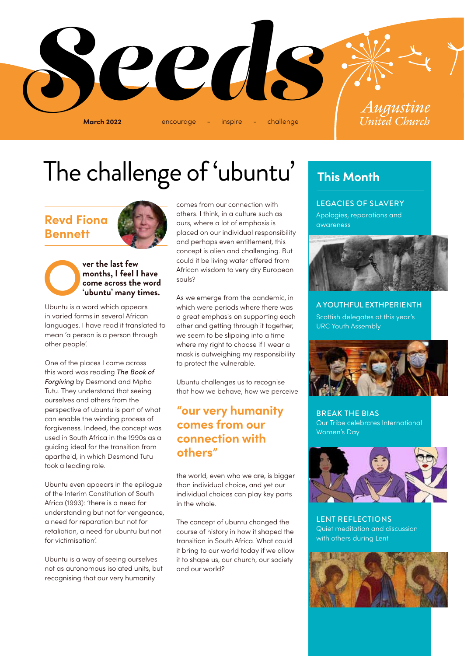

## The challenge of 'ubuntu'

### **Revd Fiona Bennett**



### **ver the last few months, I feel I had come across the w<br>
<b>Come across the w**<br> **Ubuntu is a word which appears months, I feel I have come across the word 'ubuntu' many times.**

in varied forms in several African languages. I have read it translated to mean 'a person is a person through other people'.

One of the places I came across this word was reading *The Book of Forgiving* by Desmond and Mpho Tutu. They understand that seeing ourselves and others from the perspective of ubuntu is part of what can enable the winding process of forgiveness. Indeed, the concept was used in South Africa in the 1990s as a guiding ideal for the transition from apartheid, in which Desmond Tutu took a leading role.

Ubuntu even appears in the epilogue of the Interim Constitution of South Africa (1993): 'there is a need for understanding but not for vengeance, a need for reparation but not for retaliation, a need for ubuntu but not for victimisation'.

Ubuntu is a way of seeing ourselves not as autonomous isolated units, but recognising that our very humanity

comes from our connection with others. I think, in a culture such as ours, where a lot of emphasis is placed on our individual responsibility and perhaps even entitlement, this concept is alien and challenging. But could it be living water offered from African wisdom to very dry European souls?

As we emerge from the pandemic, in which were periods where there was a great emphasis on supporting each other and getting through it together, we seem to be slipping into a time where my right to choose if I wear a mask is outweighing my responsibility to protect the vulnerable.

Ubuntu challenges us to recognise that how we behave, how we perceive

### **"our very humanity comes from our connection with others"**

the world, even who we are, is bigger than individual choice, and yet our individual choices can play key parts in the whole.

The concept of ubuntu changed the course of history in how it shaped the transition in South Africa. What could it bring to our world today if we allow it to shape us, our church, our society and our world?

### **This Month**

LEGACIES OF SLAVERY Apologies, reparations and awareness



A YOUTHFUL EXTHPERIENTH Scottish delegates at this year's URC Youth Assembly



BREAK THE BIAS Our Tribe celebrates International Women's Day



LENT REFLECTIONS Quiet meditation and discussion with others during Lent

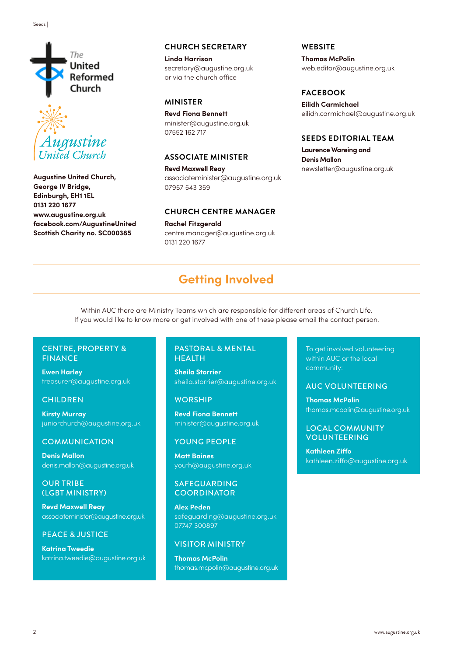



**Augustine United Church, George IV Bridge, Edinburgh, EH1 1EL 0131 220 1677 www.augustine.org.uk facebook.com/AugustineUnited Scottish Charity no. SC000385**

#### **CHURCH SECRETARY**

**Linda Harrison** secretary@augustine.org.uk or via the church office

#### **MINISTER**

**Revd Fiona Bennett** minister@augustine.org.uk 07552 162 717

#### **ASSOCIATE MINISTER**

**Revd Maxwell Reay** associateminister@augustine.org.uk 07957 543 359

#### **CHURCH CENTRE MANAGER**

**Rachel Fitzgerald** centre.manager@augustine.org.uk 0131 220 1677

**WEBSITE**

**Thomas McPolin** web.editor@augustine.org.uk

#### **FACEBOOK**

**Eilidh Carmichael** eilidh.carmichael@augustine.org.uk

#### **SEEDS EDITORIAL TEAM**

**Laurence Wareing and Denis Mallon** newsletter@augustine.org.uk

### **Getting Involved**

Within AUC there are Ministry Teams which are responsible for different areas of Church Life. If you would like to know more or get involved with one of these please email the contact person.

#### CENTRE, PROPERTY & FINANCE

**Ewen Harley**  treasurer@augustine.org.uk

#### **CHILDREN**

**Kirsty Murray** juniorchurch@augustine.org.uk

#### **COMMUNICATION**

**Denis Mallon** denis.mallon@augustine.org.uk

#### OUR TRIBE (LGBT MINISTRY)

**Revd Maxwell Reay** associateminister@augustine.org.uk

#### PEACE & JUSTICE

**Katrina Tweedie** katrina.tweedie@augustine.org.uk

#### PASTORAL & MENTAL HEALTH

**Sheila Storrier**  sheila.storrier@augustine.org.uk

#### **WORSHIP**

**Revd Fiona Bennett** minister@augustine.org.uk

#### YOUNG PEOPLE

**Matt Baines** youth@augustine.org.uk

#### SAFEGUARDING **COORDINATOR**

**Alex Peden** safeguarding@augustine.org.uk 07747 300897

#### VISITOR MINISTRY

**Thomas McPolin** thomas.mcpolin@augustine.org.uk To get involved volunteering within AUC or the local community:

#### AUC VOLUNTEERING

**Thomas McPolin**  thomas.mcpolin@augustine.org.uk

LOCAL COMMUNITY VOLUNTEERING

**Kathleen Ziffo** kathleen.ziffo@augustine.org.uk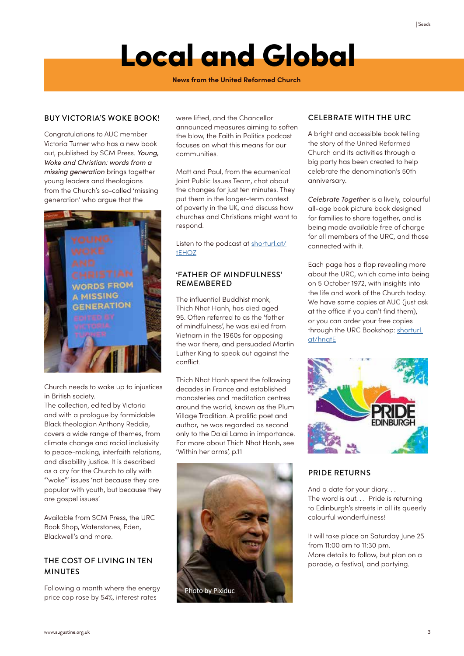## Local and Global

**News from the United Reformed Church**

#### BUY VICTORIA'S WOKE BOOK!

Congratulations to AUC member Victoria Turner who has a new book out, published by SCM Press. *Young, Woke and Christian: words from a missing generation* brings together young leaders and theologians from the Church's so-called 'missing generation' who argue that the



Church needs to wake up to injustices in British society.

The collection, edited by Victoria and with a prologue by formidable Black theologian Anthony Reddie, covers a wide range of themes, from climate change and racial inclusivity to peace-making, interfaith relations, and disability justice. It is described as a cry for the Church to ally with "'woke"' issues 'not because they are popular with youth, but because they are gospel issues'.

Available from SCM Press, the URC Book Shop, Waterstones, Eden, Blackwell's and more.

#### THE COST OF LIVING IN TEN MINUTES

Following a month where the energy price cap rose by 54%, interest rates

were lifted, and the Chancellor announced measures aiming to soften the blow, the Faith in Politics podcast focuses on what this means for our communities.

Matt and Paul, from the ecumenical Joint Public Issues Team, chat about the changes for just ten minutes. They put them in the longer-term context of poverty in the UK, and discuss how churches and Christians might want to respond.

Listen to the podcast at shorturl.at/ tEHOZ

#### 'FATHER OF MINDFULNESS' REMEMBERED

The influential Buddhist monk, Thich Nhat Hanh, has died aged 95. Often referred to as the 'father of mindfulness', he was exiled from Vietnam in the 1960s for opposing the war there, and persuaded Martin Luther King to speak out against the conflict.

Thich Nhat Hanh spent the following decades in France and established monasteries and meditation centres around the world, known as the Plum Village Tradition. A prolific poet and author, he was regarded as second only to the Dalai Lama in importance. For more about Thich Nhat Hanh, see 'Within her arms', p.11



#### CELEBRATE WITH THE URC

A bright and accessible book telling the story of the United Reformed Church and its activities through a big party has been created to help celebrate the denomination's 50th anniversary.

*Celebrate Together* is a lively, colourful all-age book picture book designed for families to share together, and is being made available free of charge for all members of the URC, and those connected with it.

Each page has a flap revealing more about the URC, which came into being on 5 October 1972, with insights into the life and work of the Church today. We have some copies at AUC (just ask at the office if you can't find them), or you can order your free copies through the URC Bookshop: shorturl. at/hnqtE



#### PRIDE RETURNS

And a date for your diary. . . The word is out. . . Pride is returning to Edinburgh's streets in all its queerly colourful wonderfulness!

It will take place on Saturday June 25 from 11:00 am to 11:30 pm. More details to follow, but plan on a parade, a festival, and partying.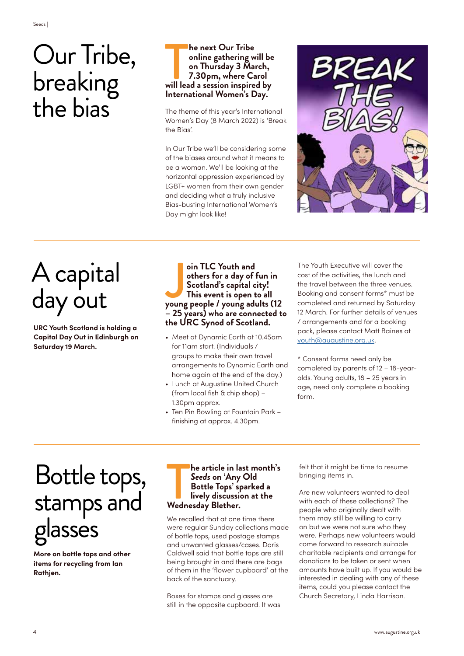## Our Tribe, breaking the bias

#### **14 The sext Our Tribe**<br> **14 The set on Thursday 3 March,**<br> **14 Triplem, Solution State Carol**<br> **14 Triplem State Carol**<br> **14 Triplem State Carol**<br> **14 Triplem State Carol**<br> **14 Triplem State Carol**<br> **14 Triplem State Caro he next Our Tribe online gathering will be on Thursday 3 March, 7.30pm, where Carol International Women's Day.**

The theme of this year's International Women's Day (8 March 2022) is 'Break the Bias'.

In Our Tribe we'll be considering some of the biases around what it means to be a woman. We'll be looking at the horizontal oppression experienced by LGBT+ women from their own gender and deciding what a truly inclusive Bias-busting International Women's Day might look like!



## A capital day out

**URC Youth Scotland is holding a Capital Day Out in Edinburgh on Saturday 19 March.**

#### oin TLC Youth and<br>others for a day of fun in<br>Scotland's capital city!<br>This event is open to all<br>young people / young adults (12 **oin TLC Youth and others for a day of fun in Scotland's capital city! This event is open to all – 25 years) who are connected to the URC Synod of Scotland.**

- Meet at Dynamic Earth at 10.45am for 11am start. (Individuals / groups to make their own travel arrangements to Dynamic Earth and home again at the end of the day.)
- Lunch at Augustine United Church (from local fish & chip shop) – 1.30pm approx.
- Ten Pin Bowling at Fountain Park finishing at approx. 4.30pm.

The Youth Executive will cover the cost of the activities, the lunch and the travel between the three venues. Booking and consent forms\* must be completed and returned by Saturday 12 March. For further details of venues / arrangements and for a booking pack, please contact Matt Baines at youth@augustine.org.uk.

\* Consent forms need only be completed by parents of 12 – 18-yearolds. Young adults, 18 – 25 years in age, need only complete a booking form.

## Bottle tops, stamps and glasses

**More on bottle tops and other items for recycling from Ian Rathjen.** 

### **lively discussion at the Wednesday Blether.**<br> **lively discussion at the Wednesday Blether. he article in last month's**  *Seeds* **on 'Any Old Bottle Tops' sparked a**

We recalled that at one time there were regular Sunday collections made of bottle tops, used postage stamps and unwanted glasses/cases. Doris Caldwell said that bottle tops are still being brought in and there are bags of them in the 'flower cupboard' at the back of the sanctuary.

Boxes for stamps and glasses are still in the opposite cupboard. It was felt that it might be time to resume bringing items in.

Are new volunteers wanted to deal with each of these collections? The people who originally dealt with them may still be willing to carry on but we were not sure who they were. Perhaps new volunteers would come forward to research suitable charitable recipients and arrange for donations to be taken or sent when amounts have built up. If you would be interested in dealing with any of these items, could you please contact the Church Secretary, Linda Harrison.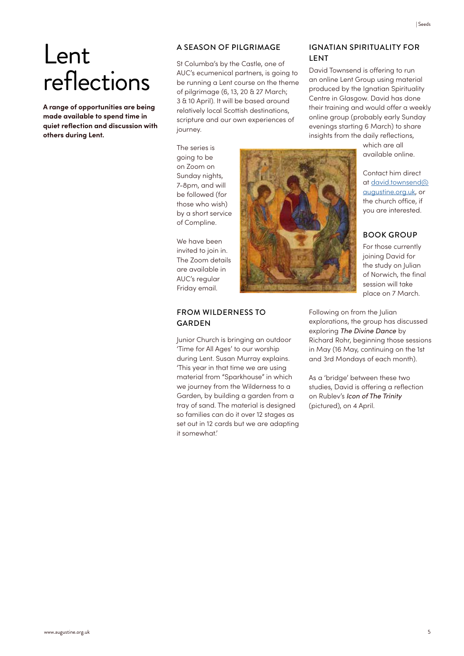**A range of opportunities are being made available to spend time in quiet reflection and discussion with others during Lent.**

#### A SEASON OF PILGRIMAGE

St Columba's by the Castle, one of AUC's ecumenical partners, is going to be running a Lent course on the theme of pilgrimage (6, 13, 20 & 27 March; 3 & 10 April). It will be based around relatively local Scottish destinations, scripture and our own experiences of journey.

The series is going to be on Zoom on Sunday nights, 7-8pm, and will be followed (for those who wish) by a short service of Compline.

We have been invited to join in. The Zoom details are available in AUC's regular Friday email.

#### FROM WILDERNESS TO GARDEN

Junior Church is bringing an outdoor 'Time for All Ages' to our worship during Lent. Susan Murray explains. 'This year in that time we are using material from "Sparkhouse" in which we journey from the Wilderness to a Garden, by building a garden from a tray of sand. The material is designed so families can do it over 12 stages as set out in 12 cards but we are adapting it somewhat.'



David Townsend is offering to run an online Lent Group using material produced by the Ignatian Spirituality Centre in Glasgow. David has done their training and would offer a weekly online group (probably early Sunday evenings starting 6 March) to share insights from the daily reflections,

> which are all available online.

Contact him direct at david.townsend@ augustine.org.uk, or the church office, if you are interested.

#### BOOK GROUP

For those currently joining David for the study on Julian of Norwich, the final session will take place on 7 March.

Following on from the Julian explorations, the group has discussed exploring *The Divine Dance* by Richard Rohr, beginning those sessions in May (16 May, continuing on the 1st and 3rd Mondays of each month).

As a 'bridge' between these two studies, David is offering a reflection on Rublev's *Icon of The Trinity* (pictured), on 4 April.

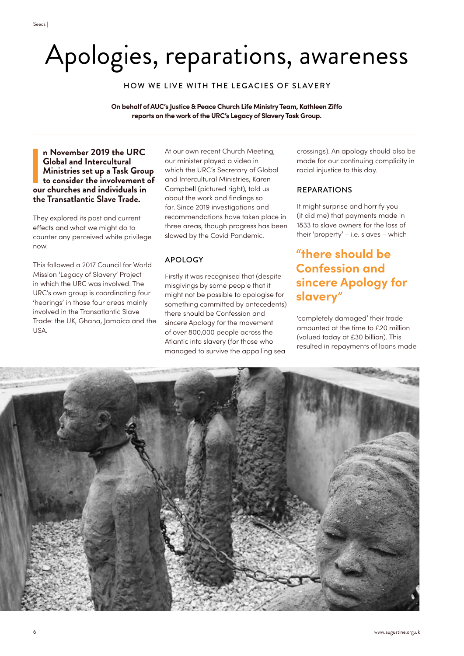## Apologies, reparations, awareness

HOW WE LIVE WITH THE LEGACIES OF SLAVERY

**On behalf of AUC's Justice & Peace Church Life Ministry Team, Kathleen Ziffo reports on the work of the URC's Legacy of Slavery Task Group.** 

#### **n November 2019 the URC**<br> **Global and Intercultural**<br>
Ministries set up a Task Grou<br>
to consider the involvement<br>
our churches and individuals in **n November 2019 the URC Global and Intercultural Ministries set up a Task Group to consider the involvement of the Transatlantic Slave Trade.**

They explored its past and current effects and what we might do to counter any perceived white privilege now.

This followed a 2017 Council for World Mission 'Legacy of Slavery' Project in which the URC was involved. The URC's own group is coordinating four 'hearings' in those four areas mainly involved in the Transatlantic Slave Trade: the UK, Ghana, Jamaica and the USA.

At our own recent Church Meeting, our minister played a video in which the URC's Secretary of Global and Intercultural Ministries, Karen Campbell (pictured right), told us about the work and findings so far. Since 2019 investigations and recommendations have taken place in three areas, though progress has been slowed by the Covid Pandemic.

### APOLOGY

Firstly it was recognised that (despite misgivings by some people that it might not be possible to apologise for something committed by antecedents) there should be Confession and sincere Apology for the movement of over 800,000 people across the Atlantic into slavery (for those who managed to survive the appalling sea

crossings). An apology should also be made for our continuing complicity in racial injustice to this day.

#### REPARATIONS

It might surprise and horrify you (it did me) that payments made in 1833 to slave owners for the loss of their 'property' – i.e. slaves – which

### **"there should be Confession and sincere Apology for slavery"**

'completely damaged' their trade amounted at the time to £20 million (valued today at £30 billion). This resulted in repayments of loans made

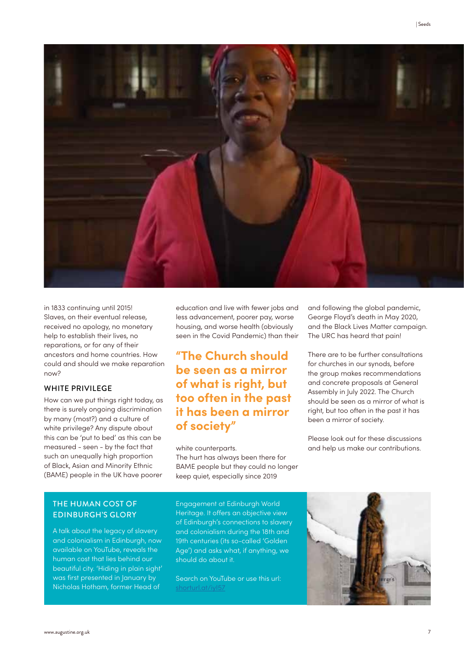



in 1833 continuing until 2015! Slaves, on their eventual release, received no apology, no monetary help to establish their lives, no reparations, or for any of their ancestors and home countries. How could and should we make reparation now?

#### WHITE PRIVILEGE

How can we put things right today, as there is surely ongoing discrimination by many (most?) and a culture of white privilege? Any dispute about this can be 'put to bed' as this can be measured - seen - by the fact that such an unequally high proportion of Black, Asian and Minority Ethnic (BAME) people in the UK have poorer

education and live with fewer jobs and less advancement, poorer pay, worse housing, and worse health (obviously seen in the Covid Pandemic) than their

### **"The Church should be seen as a mirror of what is right, but too often in the past it has been a mirror of society"**

#### white counterparts.

The hurt has always been there for BAME people but they could no longer keep quiet, especially since 2019

and following the global pandemic, George Floyd's death in May 2020, and the Black Lives Matter campaign. The URC has heard that pain!

There are to be further consultations for churches in our synods, before the group makes recommendations and concrete proposals at General Assembly in July 2022. The Church should be seen as a mirror of what is right, but too often in the past it has been a mirror of society.

Please look out for these discussions and help us make our contributions.

#### THE HUMAN COST OF EDINBURGH'S GLORY

A talk about the legacy of slavery and colonialism in Edinburgh, now available on YouTube, reveals the human cost that lies behind our beautiful city. 'Hiding in plain sight' was first presented in January by Nicholas Hotham, former Head of

Engagement at Edinburgh World Heritage. It offers an objective view of Edinburgh's connections to slavery and colonialism during the 18th and 19th centuries (its so-called 'Golden Age') and asks what, if anything, we should do about it.

Search on YouTube or use this url: shorturl.at/iyI57

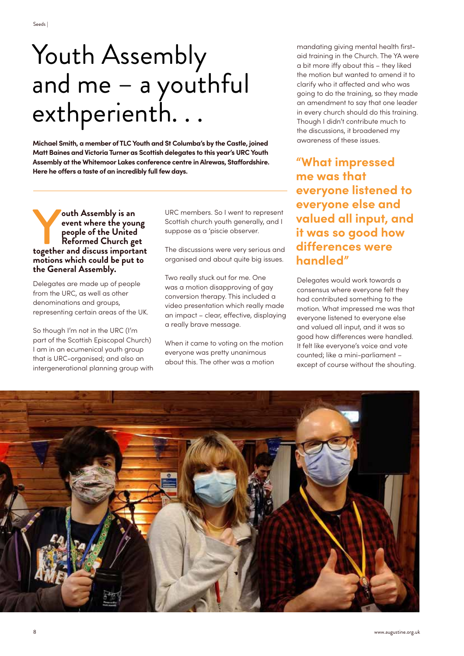## Youth Assembly and me – a youthful exthperienth. . .

**Michael Smith, a member of TLC Youth and St Columba's by the Castle, joined Matt Baines and Victoria Turner as Scottish delegates to this year's URC Youth Assembly at the Whitemoor Lakes conference centre in Alrewas, Staffordshire. Here he offers a taste of an incredibly full few days.**

**South Assembly is an event where the your people of the United Reformed Church gets below to the value of the United States in the state of the United States in the state of the state of the state of the state of the stat event where the young people of the United Reformed Church get together and discuss important motions which could be put to the General Assembly.**

Delegates are made up of people from the URC, as well as other denominations and groups, representing certain areas of the UK.

So though I'm not in the URC (I'm part of the Scottish Episcopal Church) I am in an ecumenical youth group that is URC-organised; and also an intergenerational planning group with URC members. So I went to represent Scottish church youth generally, and I suppose as a 'piscie observer.

The discussions were very serious and organised and about quite big issues.

Two really stuck out for me. One was a motion disapproving of gay conversion therapy. This included a video presentation which really made an impact – clear, effective, displaying a really brave message.

When it came to voting on the motion everyone was pretty unanimous about this. The other was a motion

mandating giving mental health firstaid training in the Church. The YA were a bit more iffy about this – they liked the motion but wanted to amend it to clarify who it affected and who was going to do the training, so they made an amendment to say that one leader in every church should do this training. Though I didn't contribute much to the discussions, it broadened my awareness of these issues.

**"What impressed me was that everyone listened to everyone else and valued all input, and it was so good how differences were handled"**

Delegates would work towards a consensus where everyone felt they had contributed something to the motion. What impressed me was that everyone listened to everyone else and valued all input, and it was so good how differences were handled. It felt like everyone's voice and vote counted; like a mini-parliament – except of course without the shouting.

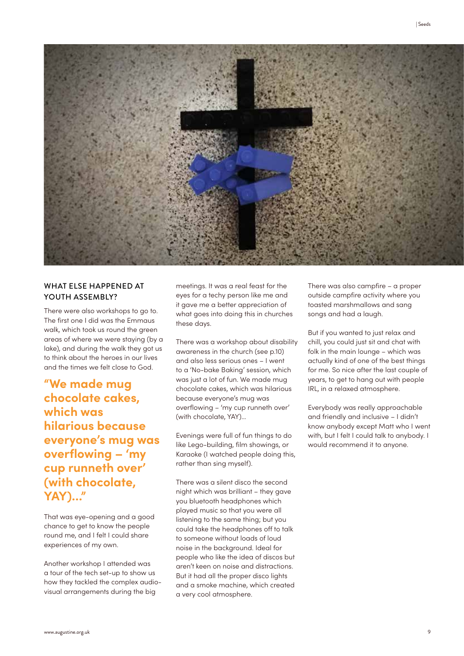

#### WHAT ELSE HAPPENED AT YOUTH ASSEMBLY?

There were also workshops to go to. The first one I did was the Emmaus walk, which took us round the green areas of where we were staying (by a lake), and during the walk they got us to think about the heroes in our lives and the times we felt close to God.

**"We made mug chocolate cakes, which was hilarious because everyone's mug was overflowing – 'my cup runneth over' (with chocolate, YAY)…"**

That was eye-opening and a good chance to get to know the people round me, and I felt I could share experiences of my own.

Another workshop I attended was a tour of the tech set-up to show us how they tackled the complex audiovisual arrangements during the big

meetings. It was a real feast for the eyes for a techy person like me and it gave me a better appreciation of what goes into doing this in churches these days.

There was a workshop about disability awareness in the church (see p.10) and also less serious ones – I went to a 'No-bake Baking' session, which was just a lot of fun. We made mug chocolate cakes, which was hilarious because everyone's mug was overflowing – 'my cup runneth over' (with chocolate, YAY)…

Evenings were full of fun things to do like Lego-building, film showings, or Karaoke (I watched people doing this, rather than sing myself).

There was a silent disco the second night which was brilliant – they gave you bluetooth headphones which played music so that you were all listening to the same thing; but you could take the headphones off to talk to someone without loads of loud noise in the background. Ideal for people who like the idea of discos but aren't keen on noise and distractions. But it had all the proper disco lights and a smoke machine, which created a very cool atmosphere.

There was also campfire – a proper outside campfire activity where you toasted marshmallows and sang songs and had a laugh.

But if you wanted to just relax and chill, you could just sit and chat with folk in the main lounge – which was actually kind of one of the best things for me. So nice after the last couple of years, to get to hang out with people IRL, in a relaxed atmosphere.

Everybody was really approachable and friendly and inclusive – I didn't know anybody except Matt who I went with, but I felt I could talk to anybody. I would recommend it to anyone.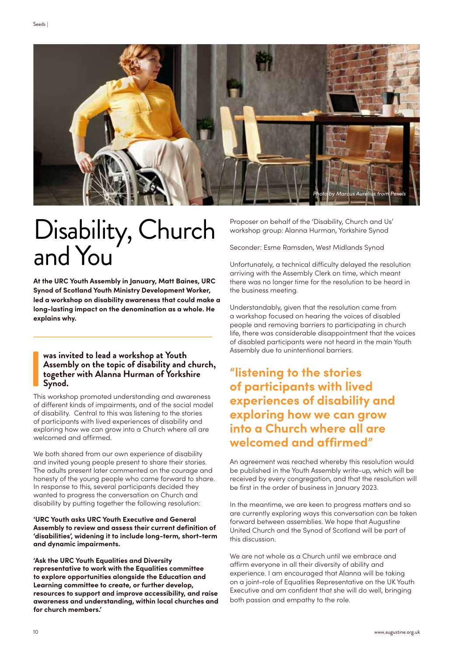

## Disability, Church and You

**At the URC Youth Assembly in January, Matt Baines, URC Synod of Scotland Youth Ministry Development Worker, led a workshop on disability awareness that could make a long-lasting impact on the denomination as a whole. He explains why.**

#### **was invited to lead a workshop at Youth Assembly on the topic of disability and church, together with Alanna Hurman of Yorkshire Synod.**

 $\begin{bmatrix} 1 \\ 1 \\ 1 \end{bmatrix}$ <br>This This workshop promoted understanding and awareness of different kinds of impairments, and of the social model of disability. Central to this was listening to the stories of participants with lived experiences of disability and exploring how we can grow into a Church where all are welcomed and affirmed.

We both shared from our own experience of disability and invited young people present to share their stories. The adults present later commented on the courage and honesty of the young people who came forward to share. In response to this, several participants decided they wanted to progress the conversation on Church and disability by putting together the following resolution:

#### **'URC Youth asks URC Youth Executive and General Assembly to review and assess their current definition of 'disabilities', widening it to include long-term, short-term and dynamic impairments.**

**'Ask the URC Youth Equalities and Diversity representative to work with the Equalities committee to explore opportunities alongside the Education and Learning committee to create, or further develop, resources to support and improve accessibility, and raise awareness and understanding, within local churches and for church members.'**

Proposer on behalf of the 'Disability, Church and Us' workshop group: Alanna Hurman, Yorkshire Synod

Seconder: Esme Ramsden, West Midlands Synod

Unfortunately, a technical difficulty delayed the resolution arriving with the Assembly Clerk on time, which meant there was no longer time for the resolution to be heard in the business meeting.

Understandably, given that the resolution came from a workshop focused on hearing the voices of disabled people and removing barriers to participating in church life, there was considerable disappointment that the voices of disabled participants were not heard in the main Youth Assembly due to unintentional barriers.

### **"listening to the stories of participants with lived experiences of disability and exploring how we can grow into a Church where all are welcomed and affirmed"**

An agreement was reached whereby this resolution would be published in the Youth Assembly write-up, which will be received by every congregation, and that the resolution will be first in the order of business in January 2023.

In the meantime, we are keen to progress matters and so are currently exploring ways this conversation can be taken forward between assemblies. We hope that Augustine United Church and the Synod of Scotland will be part of this discussion.

We are not whole as a Church until we embrace and affirm everyone in all their diversity of ability and experience. I am encouraged that Alanna will be taking on a joint-role of Equalities Representative on the UK Youth Executive and am confident that she will do well, bringing both passion and empathy to the role.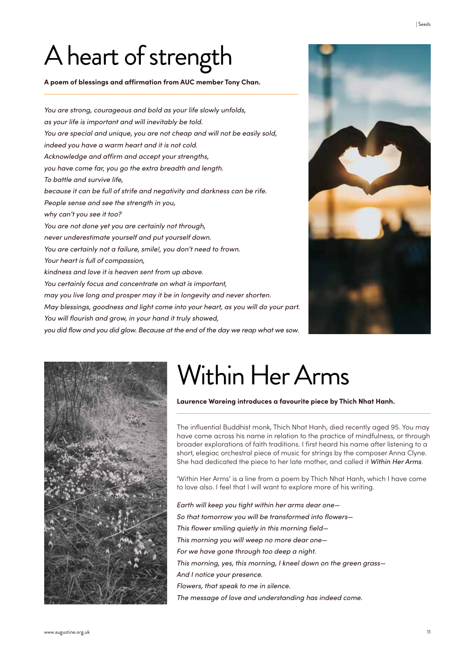## A heart of strength

**A poem of blessings and affirmation from AUC member Tony Chan.**

*You are strong, courageous and bold as your life slowly unfolds, as your life is important and will inevitably be told. You are special and unique, you are not cheap and will not be easily sold, indeed you have a warm heart and it is not cold. Acknowledge and affirm and accept your strengths, you have come far, you go the extra breadth and length. To battle and survive life, because it can be full of strife and negativity and darkness can be rife. People sense and see the strength in you, why can't you see it too? You are not done yet you are certainly not through, never underestimate yourself and put yourself down. You are certainly not a failure, smile!, you don't need to frown. Your heart is full of compassion, kindness and love it is heaven sent from up above. You certainly focus and concentrate on what is important, may you live long and prosper may it be in longevity and never shorten. May blessings, goodness and light come into your heart, as you will do your part. You will flourish and grow, in your hand it truly showed, you did flow and you did glow. Because at the end of the day we reap what we sow.*





## Within Her Arms

**Laurence Wareing introduces a favourite piece by Thich Nhat Hanh.**

The influential Buddhist monk, Thich Nhat Hanh, died recently aged 95. You may have come across his name in relation to the practice of mindfulness, or through broader explorations of faith traditions. I first heard his name after listening to a short, elegiac orchestral piece of music for strings by the composer Anna Clyne. She had dedicated the piece to her late mother, and called it *Within Her Arms*.

'Within Her Arms' is a line from a poem by Thich Nhat Hanh, which I have come to love also. I feel that I will want to explore more of his writing.

*Earth will keep you tight within her arms dear one— So that tomorrow you will be transformed into flowers— This flower smiling quietly in this morning field— This morning you will weep no more dear one— For we have gone through too deep a night. This morning, yes, this morning, I kneel down on the green grass— And I notice your presence. Flowers, that speak to me in silence. The message of love and understanding has indeed come.*